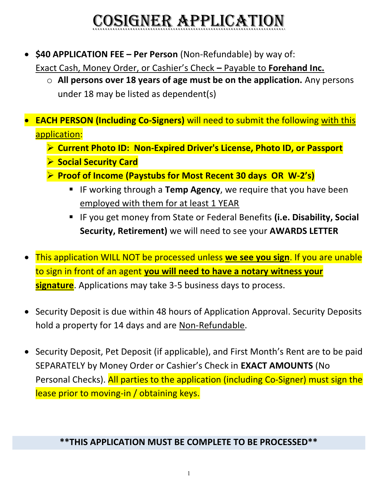# CoSigner AppliCAtion

 $\bullet$  \$40 APPLICATION FEE – Per Person (Non-Refundable) by way of:

Exact Cash, Money Order, or Cashier's Check – Payable to Forehand Inc.

- $\circ$  All persons over 18 years of age must be on the application. Any persons under 18 may be listed as dependent(s)
- EACH PERSON (Including Co-Signers) will need to submit the following with this application:
	- ▶ Current Photo ID: Non-Expired Driver's License, Photo ID, or Passport
	- ▶ Social Security Card
	- $\triangleright$  Proof of Income (Paystubs for Most Recent 30 days OR W-2's)
		- **IF working through a Temp Agency, we require that you have been** employed with them for at least 1 YEAR
		- IF you get money from State or Federal Benefits (i.e. Disability, Social Security, Retirement) we will need to see your AWARDS LETTER
- This application WILL NOT be processed unless we see you sign. If you are unable to sign in front of an agent you will need to have a notary witness your signature. Applications may take 3-5 business days to process.
- Security Deposit is due within 48 hours of Application Approval. Security Deposits hold a property for 14 days and are Non-Refundable.
- Security Deposit, Pet Deposit (if applicable), and First Month's Rent are to be paid SEPARATELY by Money Order or Cashier's Check in EXACT AMOUNTS (No Personal Checks). All parties to the application (including Co-Signer) must sign the lease prior to moving-in / obtaining keys.

## \*\*THIS APPLICATION MUST BE COMPLETE TO BE PROCESSED\*\*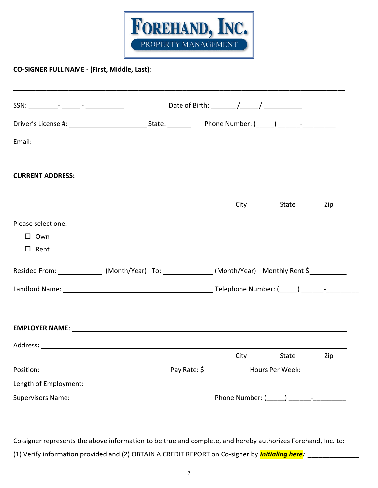

#### CO-SIGNER FULL NAME - (First, Middle, Last):

| Date of Birth: $\frac{1}{\sqrt{1-\frac{1}{2}}}\sqrt{1-\frac{1}{2}}$ |  |      |       |                                                                                                                                                                                                                                                                                                                                               |
|---------------------------------------------------------------------|--|------|-------|-----------------------------------------------------------------------------------------------------------------------------------------------------------------------------------------------------------------------------------------------------------------------------------------------------------------------------------------------|
|                                                                     |  |      |       |                                                                                                                                                                                                                                                                                                                                               |
|                                                                     |  |      |       |                                                                                                                                                                                                                                                                                                                                               |
|                                                                     |  |      |       |                                                                                                                                                                                                                                                                                                                                               |
|                                                                     |  |      | State | Zip                                                                                                                                                                                                                                                                                                                                           |
|                                                                     |  |      |       |                                                                                                                                                                                                                                                                                                                                               |
|                                                                     |  |      |       |                                                                                                                                                                                                                                                                                                                                               |
|                                                                     |  |      |       |                                                                                                                                                                                                                                                                                                                                               |
|                                                                     |  |      |       |                                                                                                                                                                                                                                                                                                                                               |
|                                                                     |  |      |       |                                                                                                                                                                                                                                                                                                                                               |
|                                                                     |  |      |       |                                                                                                                                                                                                                                                                                                                                               |
|                                                                     |  | City | State | Zip                                                                                                                                                                                                                                                                                                                                           |
|                                                                     |  |      |       |                                                                                                                                                                                                                                                                                                                                               |
|                                                                     |  |      |       |                                                                                                                                                                                                                                                                                                                                               |
|                                                                     |  |      |       | City<br>Resided From: _______________(Month/Year) To: _____________(Month/Year) Monthly Rent \$____________<br>EMPLOYER NAME: The contract of the contract of the contract of the contract of the contract of the contract of the contract of the contract of the contract of the contract of the contract of the contract of the contract of |

Co-signer represents the above information to be true and complete, and hereby authorizes Forehand, Inc. to: (1) Verify information provided and (2) OBTAIN A CREDIT REPORT on Co-signer by *initialing here:*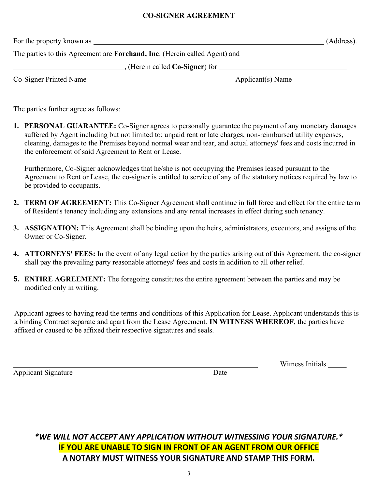#### CO-SIGNER AGREEMENT

For the property known as (Address).

The parties to this Agreement are Forehand, Inc. (Herein called Agent) and

**Example 20**, (Herein called Co-Signer) for <u>example 2001 and 2001</u>

Co-Signer Printed Name Applicant(s) Name

The parties further agree as follows:

1. PERSONAL GUARANTEE: Co-Signer agrees to personally guarantee the payment of any monetary damages suffered by Agent including but not limited to: unpaid rent or late charges, non-reimbursed utility expenses, cleaning, damages to the Premises beyond normal wear and tear, and actual attorneys' fees and costs incurred in the enforcement of said Agreement to Rent or Lease.

Furthermore, Co-Signer acknowledges that he/she is not occupying the Premises leased pursuant to the Agreement to Rent or Lease, the co-signer is entitled to service of any of the statutory notices required by law to be provided to occupants.

- 2. TERM OF AGREEMENT: This Co-Signer Agreement shall continue in full force and effect for the entire term of Resident's tenancy including any extensions and any rental increases in effect during such tenancy.
- 3. ASSIGNATION: This Agreement shall be binding upon the heirs, administrators, executors, and assigns of the Owner or Co-Signer.
- 4. ATTORNEYS' FEES: In the event of any legal action by the parties arising out of this Agreement, the co-signer shall pay the prevailing party reasonable attorneys' fees and costs in addition to all other relief.
- 5. ENTIRE AGREEMENT: The foregoing constitutes the entire agreement between the parties and may be modified only in writing.

Applicant agrees to having read the terms and conditions of this Application for Lease. Applicant understands this is a binding Contract separate and apart from the Lease Agreement. IN WITNESS WHEREOF, the parties have affixed or caused to be affixed their respective signatures and seals.

Applicant Signature Date

Witness Initials

### \*WE WILL NOT ACCEPT ANY APPLICATION WITHOUT WITNESSING YOUR SIGNATURE.\* IF YOU ARE UNABLE TO SIGN IN FRONT OF AN AGENT FROM OUR OFFICE A NOTARY MUST WITNESS YOUR SIGNATURE AND STAMP THIS FORM.